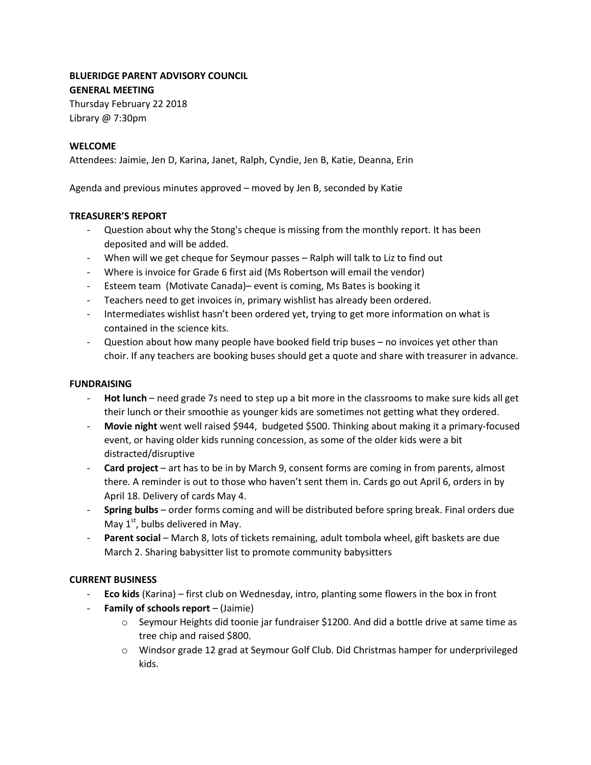# **BLUERIDGE PARENT ADVISORY COUNCIL GENERAL MEETING**

Thursday February 22 2018 Library @ 7:30pm

### **WELCOME**

Attendees: Jaimie, Jen D, Karina, Janet, Ralph, Cyndie, Jen B, Katie, Deanna, Erin

Agenda and previous minutes approved – moved by Jen B, seconded by Katie

### **TREASURER'S REPORT**

- Question about why the Stong's cheque is missing from the monthly report. It has been deposited and will be added.
- When will we get cheque for Seymour passes Ralph will talk to Liz to find out
- Where is invoice for Grade 6 first aid (Ms Robertson will email the vendor)
- Esteem team (Motivate Canada)– event is coming, Ms Bates is booking it
- Teachers need to get invoices in, primary wishlist has already been ordered.
- Intermediates wishlist hasn't been ordered yet, trying to get more information on what is contained in the science kits.
- Question about how many people have booked field trip buses no invoices yet other than choir. If any teachers are booking buses should get a quote and share with treasurer in advance.

#### **FUNDRAISING**

- Hot lunch need grade 7s need to step up a bit more in the classrooms to make sure kids all get their lunch or their smoothie as younger kids are sometimes not getting what they ordered.
- **Movie night** went well raised \$944, budgeted \$500. Thinking about making it a primary-focused event, or having older kids running concession, as some of the older kids were a bit distracted/disruptive
- **Card project** art has to be in by March 9, consent forms are coming in from parents, almost there. A reminder is out to those who haven't sent them in. Cards go out April 6, orders in by April 18. Delivery of cards May 4.
- **Spring bulbs**  order forms coming and will be distributed before spring break. Final orders due May  $1<sup>st</sup>$ , bulbs delivered in May.
- Parent social March 8, lots of tickets remaining, adult tombola wheel, gift baskets are due March 2. Sharing babysitter list to promote community babysitters

### **CURRENT BUSINESS**

- **Eco kids** (Karina) first club on Wednesday, intro, planting some flowers in the box in front
- **Family of schools report** (Jaimie)
	- $\circ$  Seymour Heights did toonie jar fundraiser \$1200. And did a bottle drive at same time as tree chip and raised \$800.
	- o Windsor grade 12 grad at Seymour Golf Club. Did Christmas hamper for underprivileged kids.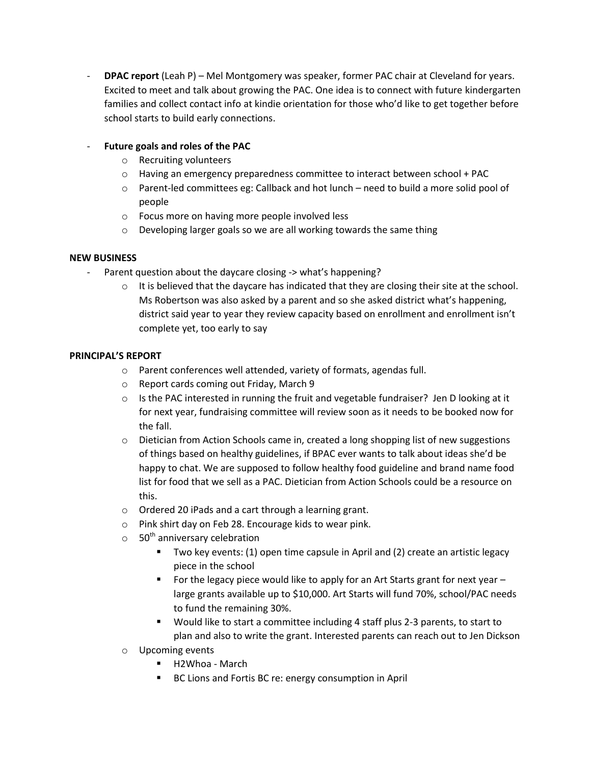**DPAC report** (Leah P) – Mel Montgomery was speaker, former PAC chair at Cleveland for years. Excited to meet and talk about growing the PAC. One idea is to connect with future kindergarten families and collect contact info at kindie orientation for those who'd like to get together before school starts to build early connections.

# - **Future goals and roles of the PAC**

- o Recruiting volunteers
- o Having an emergency preparedness committee to interact between school + PAC
- o Parent-led committees eg: Callback and hot lunch need to build a more solid pool of people
- o Focus more on having more people involved less
- o Developing larger goals so we are all working towards the same thing

### **NEW BUSINESS**

- Parent question about the daycare closing -> what's happening?
	- $\circ$  It is believed that the daycare has indicated that they are closing their site at the school. Ms Robertson was also asked by a parent and so she asked district what's happening, district said year to year they review capacity based on enrollment and enrollment isn't complete yet, too early to say

### **PRINCIPAL'S REPORT**

- o Parent conferences well attended, variety of formats, agendas full.
- o Report cards coming out Friday, March 9
- $\circ$  Is the PAC interested in running the fruit and vegetable fundraiser? Jen D looking at it for next year, fundraising committee will review soon as it needs to be booked now for the fall.
- $\circ$  Dietician from Action Schools came in, created a long shopping list of new suggestions of things based on healthy guidelines, if BPAC ever wants to talk about ideas she'd be happy to chat. We are supposed to follow healthy food guideline and brand name food list for food that we sell as a PAC. Dietician from Action Schools could be a resource on this.
- o Ordered 20 iPads and a cart through a learning grant.
- o Pink shirt day on Feb 28. Encourage kids to wear pink.
- $\circ$  50<sup>th</sup> anniversary celebration
	- Two key events: (1) open time capsule in April and (2) create an artistic legacy piece in the school
	- For the legacy piece would like to apply for an Art Starts grant for next year  $$ large grants available up to \$10,000. Art Starts will fund 70%, school/PAC needs to fund the remaining 30%.
	- Would like to start a committee including 4 staff plus 2-3 parents, to start to plan and also to write the grant. Interested parents can reach out to Jen Dickson
- o Upcoming events
	- H2Whoa March
	- BC Lions and Fortis BC re: energy consumption in April